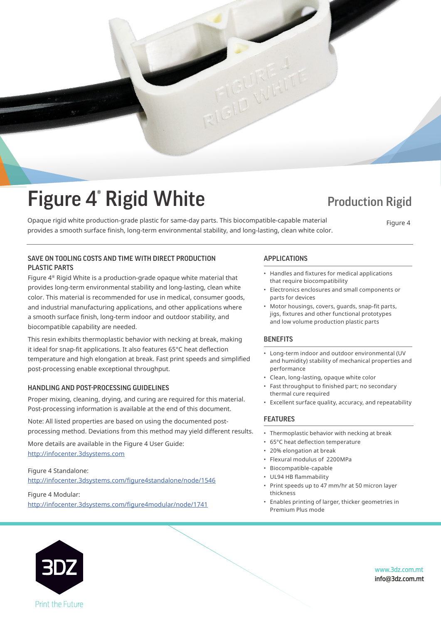

# Figure 4<sup>®</sup> Rigid White Production Rigid

■ ISUI C → INISIU VVIIILC<br>Opaque rigid white production-grade plastic for same-day parts. This biocompatible-capable material Figure 4 provides a smooth surface finish, long-term environmental stability, and long-lasting, clean white color.

provides a smooth surface finish, long-term environmental stability, and long-lasting, clean white color.

Figure 4

### SAVE ON TOOLING COSTS AND TIME WITH DIRECT PRODUCTION APPLICATIONS PLASTIC PARTS

Figure 4® Rigid White is a production-grade opaque white material that **Figure 4®** Rigid White is a production-grade opaque white material that  $\overline{\mathcal{S}}$  provides long-term environmental stability and long-lasting, clean white color. This material is recommended for use in medical, consumer goods, and industrial manufacturing applications, and other applications where a smooth surface finish, long-term indoor and outdoor stability, and biocompatible capability are needed.

This resin exhibits thermoplastic behavior with necking at break, making it ideal for snap-fit applications. It also features 65°C heat deflection temperature and high elongation at break. Fast print speeds and simplified post-processing enable exceptional throughput.

### HANDLING AND POST-PROCESSING GUIDELINES

Post-processing information is available at the end of this document. Proper mixing, cleaning, drying, and curing are required for this material.

Note: All listed properties are based on using the documented postprocessing method. Deviations from this method may yield different results.

More details are available in the Figure 4 User Guide: http://infocenter.3dsystems.com

Figure 4 Standalone: The Figure 4 User Guide: http://infocenter.3dsystems.com http://infocenter.3dsystems.com/figure4standalone/node/1546

Figure 4 Modular: http://infocenter.3dsystems.com/figure4modular/node/1741

*Note: Not all products and materials are available in all countries —* 

- Handles and fixtures for medical applications that require biocompatibility
- Electronics enclosures and small components or parts for devices
- $\bullet~$  Motor housings, covers, guards, snap-fit parts, jigs, fixtures and other functional prototypes and low volume production plastic parts

#### $\mathsf{NEPII5}$ **BENEFITS**

- and humidity) stability of mechanical properties and • Long-term indoor and outdoor environmental (UV performance
- $\cdot$  Clean, long-lasting, opaque white color
- Fast throughput to finished part; no secondary thermal cure required
- Excellent surface quality, accuracy, and repeatability

### FEATURES

- $\mathcal{L}_{\mathcal{A}}$  is a contribution of the surface quality, and repeatability, and repeatability, and repeatability, and repeat • Thermoplastic behavior with necking at break
- 65°C heat deflection temperature
- 20% elongation at break
- Flexural modulus of 2200MPa
- Biocompatible-capable
- UL94 HB flammability

thickness

- Print speeds up to 47 mm/hr at 50 micron layer trickriess thickness
- Enables printing of larger, thicker geometries in  $\overline{\phantom{a}}$ Premium Plus mode



Figure 4 Modular:

*please consult your local sales representative for availability.* www.3dz.com.mt info@3dz.com.mt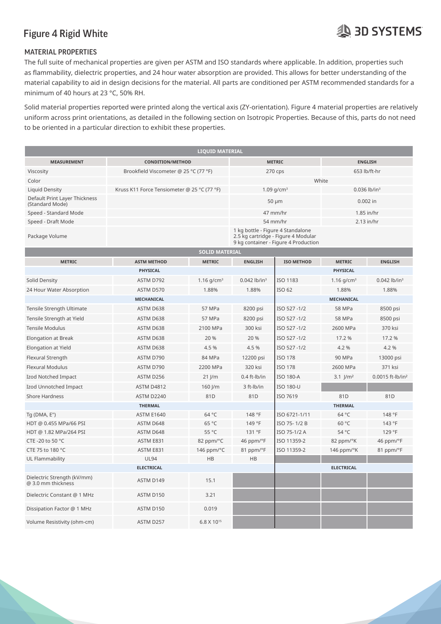# **AD SYSTEMS**

### MATERIAL PROPERTIES

The full suite of mechanical properties are given per ASTM and ISO standards where applicable. In addition, properties such as flammability, dielectric properties, and 24 hour water absorption are provided. This allows for better understanding of the material capability to aid in design decisions for the material. All parts are conditioned per ASTM recommended standards for a minimum of 40 hours at 23 °C, 50% RH.

Solid material properties reported were printed along the vertical axis (ZY-orientation). Figure 4 material properties are relatively uniform across print orientations, as detailed in the following section on Isotropic Properties. Because of this, parts do not need to be oriented in a particular direction to exhibit these properties. minimum of 40 hours at 23 °C, 50% RH.

| <b>LIQUID MATERIAL</b>                            |                                             |                        |                                                                                                                  |                   |                        |                              |  |  |  |  |  |  |
|---------------------------------------------------|---------------------------------------------|------------------------|------------------------------------------------------------------------------------------------------------------|-------------------|------------------------|------------------------------|--|--|--|--|--|--|
| <b>MEASUREMENT</b>                                | <b>CONDITION/METHOD</b>                     |                        | <b>METRIC</b>                                                                                                    |                   | <b>ENGLISH</b>         |                              |  |  |  |  |  |  |
| Viscosity                                         | Brookfield Viscometer @ 25 °C (77 °F)       |                        | 270 cps                                                                                                          |                   | 653 lb/ft-hr           |                              |  |  |  |  |  |  |
| Color                                             |                                             |                        | White                                                                                                            |                   |                        |                              |  |  |  |  |  |  |
| <b>Liquid Density</b>                             | Kruss K11 Force Tensiometer @ 25 °C (77 °F) |                        | $1.09$ g/cm <sup>3</sup><br>$0.036$ lb/in <sup>3</sup>                                                           |                   |                        |                              |  |  |  |  |  |  |
| Default Print Layer Thickness<br>(Standard Mode)  |                                             |                        | $50 \mu m$<br>$0.002$ in                                                                                         |                   |                        |                              |  |  |  |  |  |  |
| Speed - Standard Mode                             |                                             |                        | 47 mm/hr                                                                                                         | 1.85 in/hr        |                        |                              |  |  |  |  |  |  |
| Speed - Draft Mode                                |                                             |                        | 54 mm/hr<br>$2.13$ in/hr                                                                                         |                   |                        |                              |  |  |  |  |  |  |
| Package Volume                                    |                                             |                        | 1 kg bottle - Figure 4 Standalone<br>2.5 kg cartridge - Figure 4 Modular<br>9 kg container - Figure 4 Production |                   |                        |                              |  |  |  |  |  |  |
| <b>SOLID MATERIAL</b>                             |                                             |                        |                                                                                                                  |                   |                        |                              |  |  |  |  |  |  |
| <b>METRIC</b>                                     | <b>ASTM METHOD</b>                          | <b>METRIC</b>          | <b>ENGLISH</b>                                                                                                   | <b>ISO METHOD</b> | <b>METRIC</b>          | <b>ENGLISH</b>               |  |  |  |  |  |  |
|                                                   | PHYSICAL                                    |                        |                                                                                                                  |                   | <b>PHYSICAL</b>        |                              |  |  |  |  |  |  |
| Solid Density                                     | ASTM D792                                   | 1.16 $g/cm^{3}$        | $0.042$ lb/in <sup>3</sup>                                                                                       | ISO 1183          | 1.16 $g/cm^{3}$        | $0.042$ lb/in <sup>3</sup>   |  |  |  |  |  |  |
| 24 Hour Water Absorption                          | ASTM D570                                   | 1.88%                  | 1.88%                                                                                                            | ISO 62            | 1.88%                  | 1.88%                        |  |  |  |  |  |  |
|                                                   | <b>MECHANICAL</b>                           | <b>MECHANICAL</b>      |                                                                                                                  |                   |                        |                              |  |  |  |  |  |  |
| Tensile Strength Ultimate                         | ASTM D638                                   | 57 MPa                 | 8200 psi                                                                                                         | ISO 527-1/2       | 58 MPa                 | 8500 psi                     |  |  |  |  |  |  |
| Tensile Strength at Yield                         | ASTM D638                                   | 57 MPa                 | 8200 psi                                                                                                         | ISO 527-1/2       | 58 MPa                 | 8500 psi                     |  |  |  |  |  |  |
| <b>Tensile Modulus</b>                            | ASTM D638                                   | 2100 MPa               | 300 ksi                                                                                                          | ISO 527-1/2       | 2600 MPa               | 370 ksi                      |  |  |  |  |  |  |
| Elongation at Break                               | ASTM D638                                   | 20 %                   | 20 %                                                                                                             | ISO 527-1/2       | 17.2 %                 | 17.2 %                       |  |  |  |  |  |  |
| Elongation at Yield                               | ASTM D638                                   | 4.5 %                  | 4.5 %                                                                                                            | ISO 527-1/2       | 4.2%                   | 4.2%                         |  |  |  |  |  |  |
| Flexural Strength                                 | ASTM D790                                   | 84 MPa                 | 12200 psi                                                                                                        | <b>ISO 178</b>    | 90 MPa                 |                              |  |  |  |  |  |  |
| Flexural Modulus                                  | ASTM D790                                   | 2200 MPa               | 320 ksi                                                                                                          | <b>ISO 178</b>    | 2600 MPa               | 371 ksi                      |  |  |  |  |  |  |
| Izod Notched Impact                               | ASTM D256                                   | $21$ J/m               | 0.4 ft-lb/in                                                                                                     | <b>ISO 180-A</b>  | $3.1$ J/m <sup>2</sup> | 0.0015 ft-lb/in <sup>2</sup> |  |  |  |  |  |  |
| Izod Unnotched Impact                             | <b>ASTM D4812</b>                           | 160 J/m                | 3 ft-lb/in                                                                                                       | <b>ISO 180-U</b>  |                        |                              |  |  |  |  |  |  |
| <b>Shore Hardness</b>                             | <b>ASTM D2240</b>                           | 81D                    | 81D                                                                                                              | ISO 7619          | 81D                    | 81D                          |  |  |  |  |  |  |
|                                                   | <b>THERMAL</b>                              |                        | <b>THERMAL</b>                                                                                                   |                   |                        |                              |  |  |  |  |  |  |
| Tq (DMA, E")                                      | <b>ASTM E1640</b>                           | 64 °C                  | 148 °F                                                                                                           | ISO 6721-1/11     | 64 °C                  | 148 °F                       |  |  |  |  |  |  |
| HDT @ 0.455 MPa/66 PSI                            | ASTM D648                                   | 65 °C                  | 149 °F                                                                                                           | ISO 75-1/2 B      | 60 °C                  | 143 °F                       |  |  |  |  |  |  |
| HDT @ 1.82 MPa/264 PSI                            | ASTM D648                                   | 55 °C                  | 131 °F                                                                                                           | ISO 75-1/2 A      | 54 °C                  | 129 °F                       |  |  |  |  |  |  |
| CTE -20 to 50 °C                                  | ASTM E831                                   | 82 ppm/°C              | 46 ppm/°F                                                                                                        | ISO 11359-2       | 82 ppm/°K              | 46 ppm/°F                    |  |  |  |  |  |  |
| CTE 75 to 180 °C                                  | ASTM E831                                   | 146 ppm/°C             | 81 ppm/°F                                                                                                        | ISO 11359-2       | 146 ppm/°K             | 81 ppm/°F                    |  |  |  |  |  |  |
| UL Flammability                                   | <b>UL94</b>                                 | HB                     | <b>HB</b>                                                                                                        |                   |                        |                              |  |  |  |  |  |  |
|                                                   | <b>ELECTRICAL</b>                           |                        | <b>ELECTRICAL</b>                                                                                                |                   |                        |                              |  |  |  |  |  |  |
| Dielectric Strength (kV/mm)<br>@ 3.0 mm thickness | ASTM D149                                   | 15.1                   |                                                                                                                  |                   |                        |                              |  |  |  |  |  |  |
| Dielectric Constant @ 1 MHz                       | ASTM D150                                   | 3.21                   |                                                                                                                  |                   |                        |                              |  |  |  |  |  |  |
| Dissipation Factor @ 1 MHz                        | ASTM D150                                   | 0.019                  |                                                                                                                  |                   |                        |                              |  |  |  |  |  |  |
| Volume Resistivity (ohm-cm)                       | ASTM D257                                   | 6.8 X 10 <sup>15</sup> |                                                                                                                  |                   |                        |                              |  |  |  |  |  |  |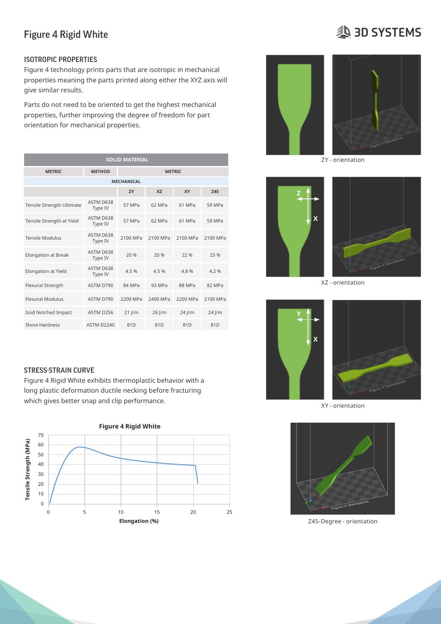# **SD SYSTEMS**

### ISOTROPIC PROPERTIES

Figure 4 technology prints parts that are isotropic in mechanical properties meaning the parts printed along either the XYZ axis will Figure 4 Rigid White give similar results.

Parts do not need to be oriented to get the highest mechanical properties are given per ASTM and ISO standards where applicable. In addition, properties such as  $\mathbf{I}$ properties, further improving the degree of freedom for part  $\blacksquare$  . This allows for better understanding of the provided of the provided of the provided of the provided of the provided of the provided of the provided of orientation for mechanical properties. The material capability to aid in decisions for the material capability to aid in decisions for all parts are conditions for all parts are conditioned standards for a standards for a

| <b>SOLID MATERIAL</b>      |                      |               |          |          |          |  |
|----------------------------|----------------------|---------------|----------|----------|----------|--|
| <b>METRIC</b>              | <b>METHOD</b>        | <b>METRIC</b> |          |          |          |  |
| <b>MECHANICAL</b>          |                      |               |          |          |          |  |
|                            |                      | ZY            | XZ       | XY       | Z45      |  |
| Tensile Strength Ultimate  | ASTM D638<br>Type IV | 57 MPa        | 62 MPa   | 61 MPa   | 59 MPa   |  |
| Tensile Strength at Yield  | ASTM D638<br>Type IV | 57 MPa        | 62 MPa   | 61 MPa   | 59 MPa   |  |
| <b>Tensile Modulus</b>     | ASTM D638<br>Type IV | 2100 MPa      | 2100 MPa | 2100 MPa | 2100 MPa |  |
| <b>Elongation at Break</b> | ASTM D638<br>Type IV | 20 %          | 20 %     | 22 %     | 23 %     |  |
| Elongation at Yield        | ASTM D638<br>Type IV | 4.5 %         | 4.5 %    | 4.8 %    | 4.2%     |  |
| Flexural Strength          | ASTM D790            | 84 MPa        | 93 MPa   | 88 MPa   | 82 MPa   |  |
| <b>Flexural Modulus</b>    | ASTM D790            | 2200 MPa      | 2400 MPa | 2200 MPa | 2100 MPa |  |
| Izod Notched Impact        | ASTM D256            | $21$ J/m      | $26$ J/m | $24$ J/m | 24 J/m   |  |
| <b>Shore Hardness</b>      | <b>ASTM D2240</b>    | 81D           | 81D      | 81D      | 81D      |  |

man gives a start strip and supplementation. The contract of the contract of the contract of the contract of the contract of the contract of the contract of the contract of the contract of the contract of the contract of t Figure 4 Rigid White exhibits thermoplastic behavior with a the Break Astmosfer at Break Astmosfer and the Break As long plastic deformation ductile necking before fracturing the state of the state  $\sim$  1.5  $\sim$  1.3  $\sim$  1.3  $\sim$  1.3  $\sim$  1.3  $\sim$  1.3  $\sim$  1.3  $\sim$  1.3  $\sim$  1.3  $\sim$  1.3  $\sim$  1.3  $\sim$  1.3  $\sim$  1.3  $\sim$  1.3  $\sim$  1.3  $\sim$  which gives better snap and clip performance.







XZ - orientation







Z45-Degree - orientation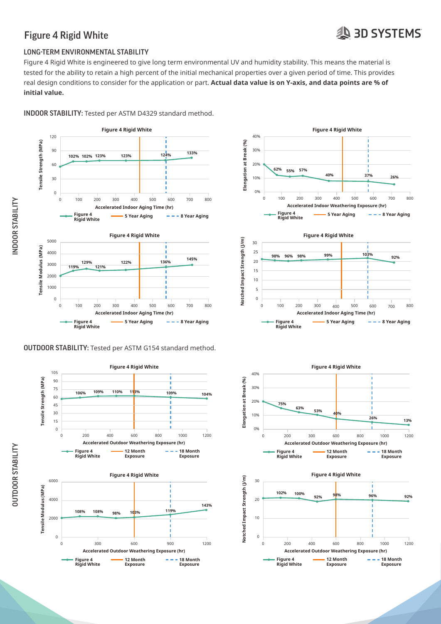# **A 3D SYSTEMS**

### Figure 4 Rigid White

### LONG-TERM ENVIRONMENTAL STABILITY

Figure 4 Rigid White is engineered to give long term environmental UV and humidity stability. This means the material is tested for the ability to retain a high percent of the initial mechanical properties over a given period of time. This provides<br> real design conditions to consider for the application or part. **Actual data value is on Y-axis, and data points are % of**  initial value.













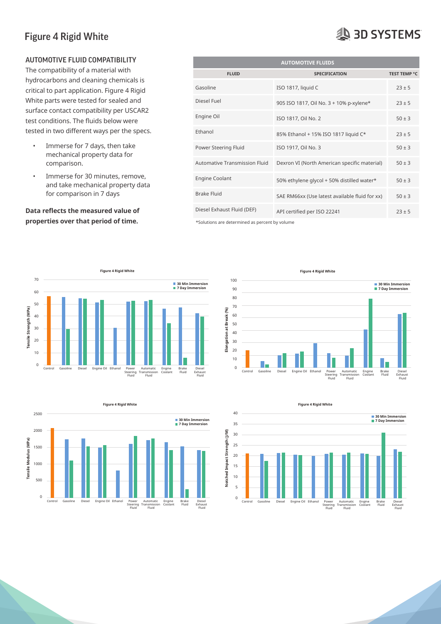### AUTOMOTIVE FLUID COMPATIBILITY

- comparison. to be oriented in a particular direction to be oriented in a particular direction to exhibit these properties.
	- Immerse for 30 minutes, remove, and take mechanical property data for comparison in 7 days

# **properties over that period of time.** The section of the sections are determined as percent by volume

| AUTOMOTIVE FLUID COMPATIBILITY                                                         | <b>AUTOMOTIVE FLUIDS</b>      |                                                |                     |  |  |
|----------------------------------------------------------------------------------------|-------------------------------|------------------------------------------------|---------------------|--|--|
| The compatibility of a material with                                                   | <b>FLUID</b>                  | <b>SPECIFICATION</b>                           | <b>TEST TEMP °C</b> |  |  |
| hydrocarbons and cleaning chemicals is<br>critical to part application. Figure 4 Rigid | Gasoline                      | ISO 1817, liquid C                             | $23 \pm 5$          |  |  |
| White parts were tested for sealed and<br>surface contact compatibility per USCAR2     | Diesel Fuel                   | 905 ISO 1817, Oil No. 3 + 10% p-xylene*        | $23 \pm 5$          |  |  |
| test conditions. The fluids below were                                                 | Engine Oil                    | ISO 1817, Oil No. 2                            | $50 \pm 3$          |  |  |
| tested in two different ways per the specs.                                            | Ethanol                       | 85% Ethanol + 15% ISO 1817 liquid C*           | $23 \pm 5$          |  |  |
| Immerse for 7 days, then take<br>$\bullet$<br>mechanical property data for             | Power Steering Fluid          | ISO 1917, Oil No. 3                            | $50 \pm 3$          |  |  |
| comparison.                                                                            | Automative Transmission Fluid | Dexron VI (North American specific material)   | $50 \pm 3$          |  |  |
| Immerse for 30 minutes, remove,<br>$\bullet$<br>and take mechanical property data      | <b>Engine Coolant</b>         | 50% ethylene glycol + 50% distilled water*     | $50 \pm 3$          |  |  |
| for comparison in 7 days                                                               | <b>Brake Fluid</b>            | SAE RM66xx (Use latest available fluid for xx) | $50 \pm 3$          |  |  |
| Data reflects the measured value of                                                    | Diesel Exhaust Fluid (DEF)    | API certified per ISO 22241                    | $23 \pm 5$          |  |  |

\*Solutions are determined as percent by volume





**Figure 4 Rigid White** 



**Figure 4 Rigid White**



# **19 3D SYSTEMS**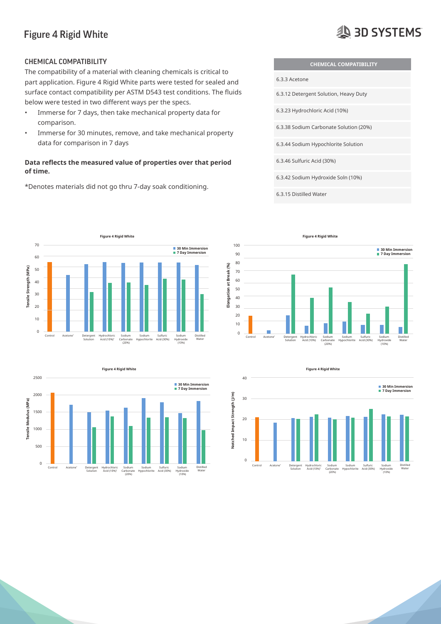# **AD SYSTEMS**

### CHEMICAL COMPATIBILITY

The compatibility of a material with cleaning chemicals is critical to  $\frac{1}{2}$ part application. Figure 4 Rigid White parts were tested for sealed and surface contact compatibility per ASTM D543 test conditions. The fluids below were tested in two different ways per the specs. The full suite of mechanical properties are given per ASTM and ISO standards where applicable. In addition, properties such as a properties such as  $\alpha$ 

- Immerse for 7 days, then take mechanical property data for  $\frac{6.3.23 \text{ Hydrochloric Act (10%)}}{2.25 \text{ Hydrochloric Act (10%)}}$ comparison.
- Immerse for 30 minutes, remove, and take mechanical property data for comparison in 7 days

#### **Data reflects the measured value of properties over that period 1996** and across properties of the following section of the following section of the following section on Isotropic Properties. Because of the following se **of time.**  to be oriented in a particular direction to exhibit the particular direction to exhibit these properties. The<br>These properties are the properties of the properties of the properties of the properties. The properties of t

\*Denotes materials did not go thru 7-day soak conditioning. **LIQUID MATERIAL**









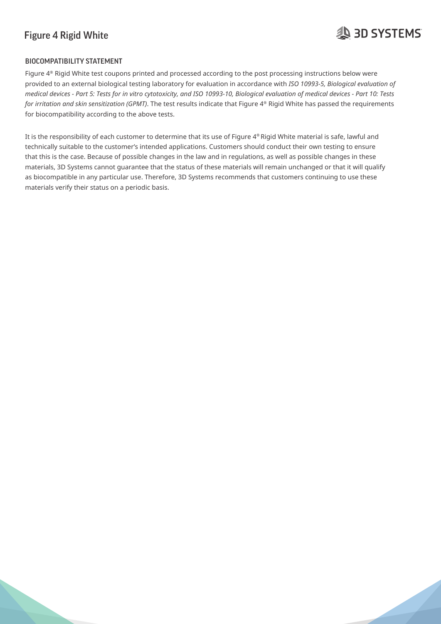# **29 3D SYSTEMS**

### BIOCOMPATIBILITY STATEMENT

Figure  $4^\circ$  Rigid White test coupons printed and processed according to the post processing instructions below were provided to an external biological testing laboratory for evaluation in accordance with *ISO 10993-5, Biological evaluation of*  medical devices - Part 5: Tests for in vitro cytotoxicity, and ISO 10993-10, Biological evaluation of medical devices - Part 10: Tests for irritation and skin sensitization (GPMT). The test results indicate that Figure 4® Rigid White has passed the requirements for biocompatibility according to the above tests.  $\overline{a}$ 

It is the responsibility of each customer to determine that its use of Figure 4® Rigid White material is safe, lawful and technically suitable to the customer's intended applications. Customers should conduct their own testing to ensure that this is the case. Because of possible changes in the law and in regulations, as well as possible changes in these materials, 3D Systems cannot guarantee that the status of these materials will remain unchanged or that it will qualify as biocompatible in any particular use. Therefore, 3D Systems recommends that customers continuing to use these materials verify their status on a periodic basis.